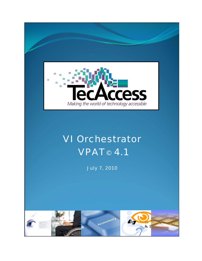

# VI Orchestrator VPAT© 4.1

July 7, 2010

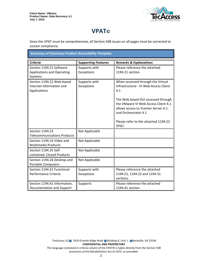

# **VPAT**®

Since the VPAT must be comprehensive, all Section 508 issues on all pages must be corrected to sustain compliance.

| <b>Summary of Voluntary Product Accessibility Template</b> |  |
|------------------------------------------------------------|--|
|------------------------------------------------------------|--|

| <b>Criteria</b>                    | <b>Supporting Features</b> | <b>Remarks &amp; Explanations</b>     |
|------------------------------------|----------------------------|---------------------------------------|
| Section 1194.21 Software           | Supports with              | Please reference the attached         |
| <b>Applications and Operating</b>  | Exceptions                 | 1194.21 section.                      |
| Systems                            |                            |                                       |
| Section 1194.22 Web-based          | Supports with              | When accessed through the Virtual     |
| Internet Information and           | Exceptions                 | Infrastructure - VI Web Access Client |
| Applications                       |                            | 4.1                                   |
|                                    |                            |                                       |
|                                    |                            | The Web based GUI accessed through    |
|                                    |                            | the VMware VI Web Access Client 4.1   |
|                                    |                            | allows access to Vcenter Server 4.1   |
|                                    |                            | and Orchestrator 4.1                  |
|                                    |                            | Please refer to the attached 1194.22  |
|                                    |                            | VPAT.                                 |
| Section 1194.23                    | Not Applicable             |                                       |
| <b>Telecommunications Products</b> |                            |                                       |
| Section 1194.24 Video and          | Not Applicable             |                                       |
| <b>Multimedia Products</b>         |                            |                                       |
| Section 1194.25 Self-              | Not Applicable             |                                       |
| contained, Closed Products         |                            |                                       |
| Section 1194.26 Desktop and        | Not Applicable             |                                       |
| Portable Computers                 |                            |                                       |
| Section 1194.31 Functional         | Supports with              | Please reference the attached         |
| Performance Criteria               | Exceptions                 | 1194.21, 1194.22 and 1194.31          |
|                                    |                            | sections.                             |
| Section 1194.41 Information,       | Supports                   | Please reference the attached         |
| Documentation and Support          |                            | 1194.41 section.                      |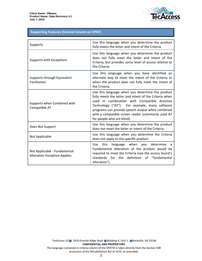

#### **Supporting Features (Second Column on VPAT)**

| Supports                                                            | Use this language when you determine the product<br>fully meets the letter and intent of the Criteria.                                                                                                                                                                                                                                              |
|---------------------------------------------------------------------|-----------------------------------------------------------------------------------------------------------------------------------------------------------------------------------------------------------------------------------------------------------------------------------------------------------------------------------------------------|
| Supports with Exceptions                                            | Use this language when you determine the product<br>does not fully meet the letter and intent of the<br>Criteria, but provides some level of access relative to<br>the Criteria.                                                                                                                                                                    |
| Supports through Equivalent<br>Facilitation                         | Use this language when you have identified an<br>alternate way to meet the intent of the Criteria or<br>when the product does not fully meet the intent of<br>the Criteria.                                                                                                                                                                         |
| Supports when Combined with<br>Compatible AT                        | Use this language when you determine the product<br>fully meets the letter and intent of the Criteria when<br>used in combination with Compatible Assistive<br>Technology ("AT"). For example, many software<br>programs can provide speech output when combined<br>with a compatible screen reader (commonly used AT<br>for people who are blind). |
| Does Not Support                                                    | Use this language when you determine the product<br>does not meet the letter or intent of the Criteria.                                                                                                                                                                                                                                             |
| Not Applicable                                                      | Use this language when you determine the Criteria<br>does not apply to the specific product.                                                                                                                                                                                                                                                        |
| Not Applicable - Fundamental<br><b>Alteration Exception Applies</b> | language when you determine<br>Use -<br>this<br>a<br>Fundamental Alteration of the product would be<br>required to meet the Criteria (see the access board's<br>standards for the definition of "fundamental<br>alteration").                                                                                                                       |

TecAccess LLC 2410 Granite Ridge Road Building A, Unit 1 Rockville, VA 23146 **CONFIDENTIAL AND PROPRIETARY** The language contained in criteria column of the VPAT© is taken directly from the Section 508 provisions of the Rehabilitation Act of 1973, as amended.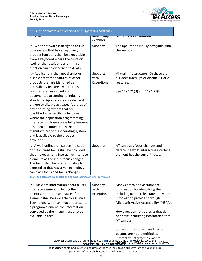

| 1194.21 Software Applications and Operating Systems                                                                                                                                                                                                                                                                                                                                                                                                                                                                                                                                               |                                         |                                                                                                                               |
|---------------------------------------------------------------------------------------------------------------------------------------------------------------------------------------------------------------------------------------------------------------------------------------------------------------------------------------------------------------------------------------------------------------------------------------------------------------------------------------------------------------------------------------------------------------------------------------------------|-----------------------------------------|-------------------------------------------------------------------------------------------------------------------------------|
| पापटाप                                                                                                                                                                                                                                                                                                                                                                                                                                                                                                                                                                                            | <del>วนpportmy</del><br><b>Features</b> | <del>nemurns &amp; Explumutions</del>                                                                                         |
| (a) When software is designed to run<br>on a system that has a keyboard,<br>product functions shall be executable<br>from a keyboard where the function<br>itself or the result of performing a<br>function can be discerned textually.                                                                                                                                                                                                                                                                                                                                                           | Supports                                | The application is fully navigable with<br>the keyboard.                                                                      |
| (b) Applications shall not disrupt or<br>disable activated features of other<br>products that are identified as<br>accessibility features, where those<br>features are developed and<br>documented according to industry<br>standards. Applications also shall not<br>disrupt or disable activated features of<br>any operating system that are<br>identified as accessibility features<br>where the application programming<br>interface for those accessibility features<br>has been documented by the<br>manufacturer of the operating system<br>and is available to the product<br>developer. | Supports<br>with<br>Exceptions          | Virtual Infrastructure - Orchestrator<br>4.1 does interrupt or disable AT or AT<br>features.<br>See 1194.21(d) and 1194.21(f) |
| (c) A well-defined on-screen indication<br>of the current focus shall be provided<br>that moves among interactive interface<br>elements as the input focus changes.<br>The focus shall be programmatically<br>exposed so that Assistive Technology<br>can track focus and focus changes.                                                                                                                                                                                                                                                                                                          | Supports                                | AT can track focus changes and<br>determine what interactive interface<br>element has the current focus.                      |

1194.21 Software Applications and Operating Systems, continued

| (d) Sufficient information about a user | Supports            | Many controls have sufficient                                                |
|-----------------------------------------|---------------------|------------------------------------------------------------------------------|
| interface element including the         | with                | information for identifying them                                             |
| identity, operation and state of the    | Exceptions          | including name, role, state and value                                        |
| element shall be available to Assistive |                     | information provided through                                                 |
| Technology When an image represents     |                     | Microsoft Active Accessibility (MSAA).                                       |
| a program element, the information      |                     |                                                                              |
| conveyed by the image must also be      |                     | However, controls do exist that do                                           |
| available in text.                      |                     | not have identifying information that                                        |
|                                         |                     | AT can use.                                                                  |
|                                         |                     |                                                                              |
|                                         |                     | Some controls which are links or                                             |
|                                         |                     | buttons are not identified as                                                |
|                                         |                     | interactive interface elements                                               |
|                                         | <b>CONFIDENTIAL</b> | TecAccess LLC 2410 Granite Ridge Road Building A, Unit 1 Rockville, VA 23146 |

The language contained in criteria column of the VPAT© is taken directly from the Section 508 provisions of the Rehabilitation Act of 1973, as amended.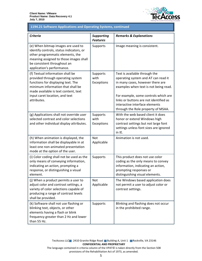

# 1194.21 Software Applications and Operating Systems, continued

| <b>Criteria</b>                                                                                                                                                                                                                           | <b>Supporting</b><br><b>Features</b> | <b>Remarks &amp; Explanations</b>                                                                                                                                                                                                                                                                           |
|-------------------------------------------------------------------------------------------------------------------------------------------------------------------------------------------------------------------------------------------|--------------------------------------|-------------------------------------------------------------------------------------------------------------------------------------------------------------------------------------------------------------------------------------------------------------------------------------------------------------|
| (e) When bitmap images are used to<br>identify controls, status indicators, or<br>other programmatic elements, the<br>meaning assigned to those images shall<br>be consistent throughout an<br>application's performance.                 | Supports                             | Image meaning is consistent.                                                                                                                                                                                                                                                                                |
| (f) Textual information shall be<br>provided through operating system<br>functions for displaying text. The<br>minimum information that shall be<br>made available is text content, text<br>input caret location, and text<br>attributes. | Supports<br>with<br>Exceptions       | Text is available through the<br>operating system and AT can read it<br>in many cases, however there are<br>examples when text is not being read.<br>For example, some controls which are<br>links or buttons are not identified as<br>interactive interface elements<br>through the Role property of MSAA. |
| (g) Applications shall not override user<br>selected contrast and color selections<br>and other individual display attributes.                                                                                                            | Supports<br>with<br>Exceptions       | With the web based client it does<br>honor or extend Windows high<br>contrast settings but not large font<br>settings unless font sizes are ignored<br>in IE.                                                                                                                                               |
| (h) When animation is displayed, the<br>information shall be displayable in at<br>least one non-animated presentation<br>mode at the option of the user.                                                                                  | <b>Not</b><br>Applicable             | Animation is not used.                                                                                                                                                                                                                                                                                      |
| (i) Color coding shall not be used as the<br>only means of conveying information,<br>indicating an action, prompting a<br>response, or distinguishing a visual<br>element.                                                                | Supports                             | This product does not use color<br>coding as the only means to convey<br>information, indicating an action,<br>prompting responses or<br>distinguishing visual elements.                                                                                                                                    |
| (i) When a product permits a user to<br>adjust color and contrast settings, a<br>variety of color selections capable of<br>producing a range of contrast levels<br>shall be provided.                                                     | <b>Not</b><br>Applicable             | The Windows based application does<br>not permit a user to adjust color or<br>contrast settings.                                                                                                                                                                                                            |
| (k) Software shall not use flashing or<br>blinking text, objects, or other<br>elements having a flash or blink<br>frequency greater than 2 Hz and lower<br>than 55 Hz.                                                                    | Supports                             | Blinking and flashing does not occur<br>in the prohibited range.                                                                                                                                                                                                                                            |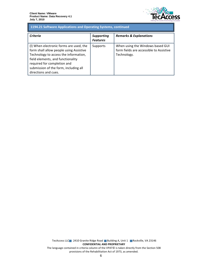

## 1194.21 Software Applications and Operating Systems, continued

| Criteria                                                                                                                                                                                                                                                         | <b>Supporting</b><br><b>Features</b> | <b>Remarks &amp; Explanations</b>                                                          |
|------------------------------------------------------------------------------------------------------------------------------------------------------------------------------------------------------------------------------------------------------------------|--------------------------------------|--------------------------------------------------------------------------------------------|
| (I) When electronic forms are used, the<br>form shall allow people using Assistive<br>Technology to access the information,<br>field elements, and functionality<br>required for completion and<br>submission of the form, including all<br>directions and cues. | Supports                             | When using the Windows based GUI<br>form fields are accessible to Assistive<br>Technology. |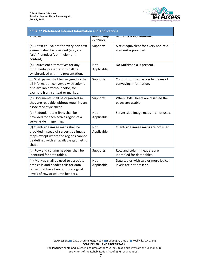

| 1194.22 Web-based Internet Information and Applications                                                                                                                  |                                         |                                                                 |
|--------------------------------------------------------------------------------------------------------------------------------------------------------------------------|-----------------------------------------|-----------------------------------------------------------------|
| पास्ताप                                                                                                                                                                  | <del>วนpportmy</del><br><b>Features</b> | <del>nemurks &amp; Explumations</del>                           |
| (a) A text equivalent for every non-text<br>element shall be provided (e.g., via<br>"alt", "longdesc", or in element<br>content).                                        | Supports                                | A text equivalent for every non-text<br>element is provided.    |
| (b) Equivalent alternatives for any<br>multimedia presentation shall be<br>synchronized with the presentation.                                                           | <b>Not</b><br>Applicable                | No Multimedia is present.                                       |
| (c) Web pages shall be designed so that<br>all information conveyed with color is<br>also available without color, for<br>example from context or markup.                | Supports                                | Color is not used as a sole means of<br>conveying information.  |
| (d) Documents shall be organized so<br>they are readable without requiring an<br>associated style sheet.                                                                 | Supports                                | When Style Sheets are disabled the<br>pages are usable.         |
| (e) Redundant text links shall be<br>provided for each active region of a<br>server-side image map.                                                                      | <b>Not</b><br>Applicable                | Server-side image maps are not used.                            |
| (f) Client-side image maps shall be<br>provided instead of server-side image<br>maps except where the regions cannot<br>be defined with an available geometric<br>shape. | Not<br>Applicable                       | Client-side image maps are not used.                            |
| (g) Row and column headers shall be<br>identified for data tables.                                                                                                       | Supports                                | Row and column headers are<br>identified for data tables.       |
| (h) Markup shall be used to associate<br>data cells and header cells for data<br>tables that have two or more logical<br>levels of row or column headers.                | <b>Not</b><br>Applicable                | Data tables with two or more logical<br>levels are not present. |

TecAccess LLC 2410 Granite Ridge Road Building A, Unit 1 Rockville, VA 23146 **CONFIDENTIAL AND PROPRIETARY** The language contained in criteria column of the VPAT© is taken directly from the Section 508 provisions of the Rehabilitation Act of 1973, as amended.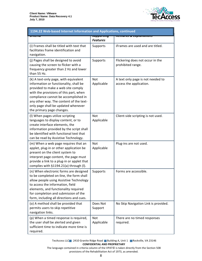

| 1194.22 Web-based Internet Information and Applications, continued                                                                                                                                                                                                                                                     |                                   |                                                              |
|------------------------------------------------------------------------------------------------------------------------------------------------------------------------------------------------------------------------------------------------------------------------------------------------------------------------|-----------------------------------|--------------------------------------------------------------|
|                                                                                                                                                                                                                                                                                                                        | ज्याप्राण्यसम्<br><b>Features</b> | <del>וסהאזושות ש כאזושות.</del>                              |
| (i) Frames shall be titled with text that<br>facilitates frame identification and<br>navigation.                                                                                                                                                                                                                       | Supports                          | iFrames are used and are titled.                             |
| (j) Pages shall be designed to avoid<br>causing the screen to flicker with a<br>frequency greater than 2 Hz and lower<br>than 55 Hz.                                                                                                                                                                                   | Supports                          | Flickering does not occur in the<br>prohibited range.        |
| (k) A text-only page, with equivalent<br>information or functionality, shall be<br>provided to make a web site comply<br>with the provisions of this part, when<br>compliance cannot be accomplished in<br>any other way. The content of the text-<br>only page shall be updated whenever<br>the primary page changes. | Not<br>Applicable                 | A text only page is not needed to<br>access the application. |
| (I) When pages utilize scripting<br>languages to display content, or to<br>create interface elements, the<br>information provided by the script shall<br>be identified with functional text that<br>can be read by Assistive Technology.                                                                               | Not<br>Applicable                 | Client-side scripting is not used.                           |
| (m) When a web page requires that an<br>applet, plug-in or other application be<br>present on the client system to<br>interpret page content, the page must<br>provide a link to a plug-in or applet that<br>complies with §1194.21(a) through (I).                                                                    | <b>Not</b><br>Applicable          | Plug-ins are not used.                                       |
| (n) When electronic forms are designed<br>to be completed on-line, the form shall<br>allow people using Assistive Technology<br>to access the information, field<br>elements, and functionality required<br>for completion and submission of the<br>form, including all directions and cues.                           | Supports                          | Forms are accessible.                                        |
| (o) A method shall be provided that<br>permits users to skip repetitive<br>navigation links.                                                                                                                                                                                                                           | Does Not<br>Support               | No Skip Navigation Link is provided.                         |
| (p) When a timed response is required,<br>the user shall be alerted and given<br>sufficient time to indicate more time is<br>required.                                                                                                                                                                                 | Not<br>Applicable                 | There are no timed responses<br>required.                    |

TecAccess LLC 2410 Granite Ridge Road Building A, Unit 1 Rockville, VA 23146 **CONFIDENTIAL AND PROPRIETARY** 

The language contained in criteria column of the VPAT© is taken directly from the Section 508 provisions of the Rehabilitation Act of 1973, as amended.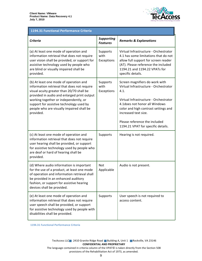

### 1194.31 Functional Performance Criteria

| <b>Criteria</b>                                                                                                                                                                                                                                                                                                                  | <b>Supporting</b><br><b>Features</b> | <b>Remarks &amp; Explanations</b>                                                                                                                                                                                                                                                                 |
|----------------------------------------------------------------------------------------------------------------------------------------------------------------------------------------------------------------------------------------------------------------------------------------------------------------------------------|--------------------------------------|---------------------------------------------------------------------------------------------------------------------------------------------------------------------------------------------------------------------------------------------------------------------------------------------------|
| (a) At least one mode of operation and<br>information retrieval that does not require<br>user vision shall be provided, or support for<br>assistive technology used by people who<br>are blind or visually impaired shall be<br>provided.                                                                                        | Supports<br>with<br>Exceptions       | Virtual Infrastructure - Orchestrator<br>4.1 has some limitations that do not<br>allow full support for screen reader<br>(AT). Please reference the included<br>1194.21 and 1194.22 VPATs for<br>specific details.                                                                                |
| (b) At least one mode of operation and<br>information retrieval that does not require<br>visual acuity greater than 20/70 shall be<br>provided in audio and enlarged print output<br>working together or independently, or<br>support for assistive technology used by<br>people who are visually impaired shall be<br>provided. | Supports<br>with<br>Exceptions       | Screen magnifiers do work with<br>Virtual Infrastructure - Orchestrator<br>4.1.<br>Virtual Infrastructure - Orchestrator<br>4.1 does not honor all Windows<br>color and high contrast settings and<br>increased text size.<br>Please reference the included<br>1194.21 VPAT for specific details. |
| (c) At least one mode of operation and<br>information retrieval that does not require<br>user hearing shall be provided, or support<br>for assistive technology used by people who<br>are deaf or hard of hearing shall be<br>provided.                                                                                          | Supports                             | Hearing is not required.                                                                                                                                                                                                                                                                          |
| (d) Where audio information is important<br>for the use of a product, at least one mode<br>of operation and information retrieval shall<br>be provided in an enhanced auditory<br>fashion, or support for assistive hearing<br>devices shall be provided.                                                                        | Not<br>Applicable                    | Audio is not present.                                                                                                                                                                                                                                                                             |
| (e) At least one mode of operation and<br>information retrieval that does not require<br>user speech shall be provided, or support<br>for assistive technology used by people with<br>disabilities shall be provided.                                                                                                            | Supports                             | User speech is not required to<br>access content.                                                                                                                                                                                                                                                 |

1194.31 Functional Performance Criteria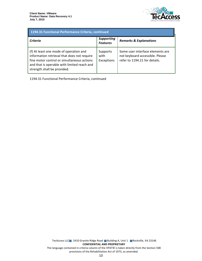

| 1194.31 Functional Performance Criteria, continued                                                                                                                                                                |                                      |                                                                                                      |
|-------------------------------------------------------------------------------------------------------------------------------------------------------------------------------------------------------------------|--------------------------------------|------------------------------------------------------------------------------------------------------|
| Criteria                                                                                                                                                                                                          | <b>Supporting</b><br><b>Features</b> | <b>Remarks &amp; Explanations</b>                                                                    |
| (f) At least one mode of operation and<br>information retrieval that does not require<br>fine motor control or simultaneous actions<br>and that is operable with limited reach and<br>strength shall be provided. | Supports<br>with<br>Exceptions       | Some user interface elements are<br>not keyboard accessible. Please<br>refer to 1194.21 for details. |

1194.31 Functional Performance Criteria, continued